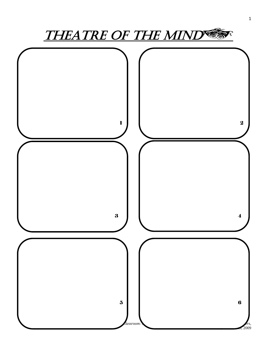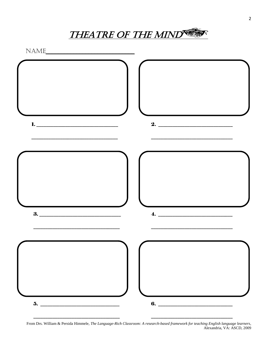**THEATRE OF THE MIND CO.** 

NAME



From Drs. William & Persida Himmele, The Language-Rich Classroom: A research-based framework for teaching English language learners, Alexandria, VA: ASCD, 2009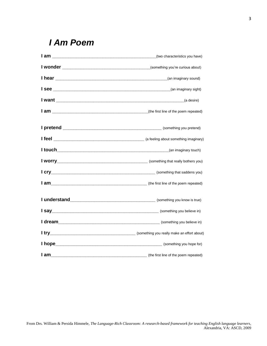## *I Am Poem*

|      | (two characteristics you have)                                            |
|------|---------------------------------------------------------------------------|
|      |                                                                           |
|      |                                                                           |
|      |                                                                           |
|      |                                                                           |
|      |                                                                           |
|      |                                                                           |
|      |                                                                           |
|      |                                                                           |
|      |                                                                           |
|      |                                                                           |
|      |                                                                           |
|      |                                                                           |
|      |                                                                           |
|      |                                                                           |
|      |                                                                           |
|      | (something you hope for)                                                  |
| I am | (the first line of the poem repeated) entertainment of the poem repeated) |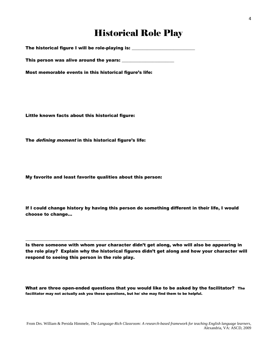# Historical Role Play

The historical figure I will be role-playing is: \_\_\_\_\_\_\_\_\_\_\_\_\_\_\_\_\_\_\_\_\_\_\_\_\_\_\_\_\_\_\_

This person was alive around the years: \_\_\_\_\_\_\_\_\_\_\_\_\_\_\_\_\_\_\_\_\_\_\_\_

Most memorable events in this historical figure's life:

Little known facts about this historical figure:

The *defining moment* in this historical figure's life:

My favorite and least favorite qualities about this person:

If I could change history by having this person do something different in their life, I would choose to change…

\_\_\_\_\_\_\_\_\_\_\_\_\_\_\_\_\_\_\_\_\_\_\_\_\_\_\_\_\_\_\_\_\_\_\_\_\_\_\_\_\_\_\_\_\_\_\_\_\_\_\_\_\_\_\_\_\_\_\_\_\_\_\_\_\_\_\_\_\_\_\_\_\_\_\_\_\_\_\_\_\_\_\_\_\_\_\_\_\_\_\_\_\_\_

Is there someone with whom your character didn't get along, who will also be appearing in the role play? Explain why the historical figures didn't get along and how your character will respond to seeing this person in the role play.

What are three open-ended questions that you would like to be asked by the facilitator? The facilitator may not actually ask you these questions, but he/ she may find them to be helpful.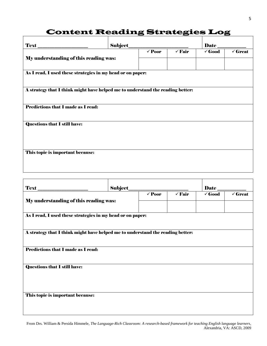## Content Reading Strategies Log

|                                                                                | Subject |                   |                   | Date_             |                    |  |  |  |
|--------------------------------------------------------------------------------|---------|-------------------|-------------------|-------------------|--------------------|--|--|--|
| My understanding of this reading was:                                          |         | $\checkmark$ Poor | $\checkmark$ Fair | $\checkmark$ Good | $\checkmark$ Great |  |  |  |
|                                                                                |         |                   |                   |                   |                    |  |  |  |
| As I read, I used these strategies in my head or on paper:                     |         |                   |                   |                   |                    |  |  |  |
|                                                                                |         |                   |                   |                   |                    |  |  |  |
| A strategy that I think might have helped me to understand the reading better: |         |                   |                   |                   |                    |  |  |  |
| <b>Predictions that I made as I read:</b>                                      |         |                   |                   |                   |                    |  |  |  |
|                                                                                |         |                   |                   |                   |                    |  |  |  |
| <b>Questions that I still have:</b>                                            |         |                   |                   |                   |                    |  |  |  |
|                                                                                |         |                   |                   |                   |                    |  |  |  |
|                                                                                |         |                   |                   |                   |                    |  |  |  |
| This topic is important because:                                               |         |                   |                   |                   |                    |  |  |  |
|                                                                                |         |                   |                   |                   |                    |  |  |  |
|                                                                                |         |                   |                   |                   |                    |  |  |  |

| Text                                                                           |  | Subject           |                   |                   | Date               |  |
|--------------------------------------------------------------------------------|--|-------------------|-------------------|-------------------|--------------------|--|
| My understanding of this reading was:                                          |  | $\checkmark$ Poor | $\checkmark$ Fair | $\checkmark$ Good | $\checkmark$ Great |  |
| As I read, I used these strategies in my head or on paper:                     |  |                   |                   |                   |                    |  |
| A strategy that I think might have helped me to understand the reading better: |  |                   |                   |                   |                    |  |
| <b>Predictions that I made as I read:</b>                                      |  |                   |                   |                   |                    |  |
| <b>Questions that I still have:</b>                                            |  |                   |                   |                   |                    |  |
|                                                                                |  |                   |                   |                   |                    |  |
| This topic is important because:                                               |  |                   |                   |                   |                    |  |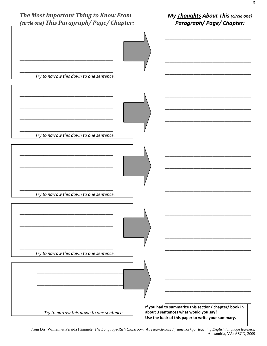

From Drs. William & Persida Himmele, The Language-Rich Classroom: A research-based framework for teaching English language learners, Alexandria, VA: ASCD, 2009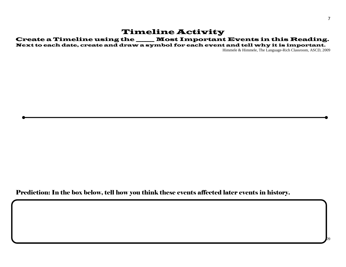### Timeline Activity

#### Create a Timeline using the \_\_\_\_\_\_\_ Most Important Events in this Reading.

Next to each date, create and draw a symbol for each event and tell why it is important.

Himmele & Himmele, The Language-Rich Classroom, ASCD, 2009

Prediction: In the box below, tell how you think these events affected later events in history.

From Drs. William & Persida Himmele, *The Language-Rich Classroom: A research-based framework for teaching English language learners*, Alexandria, VA: ASCD, 2009